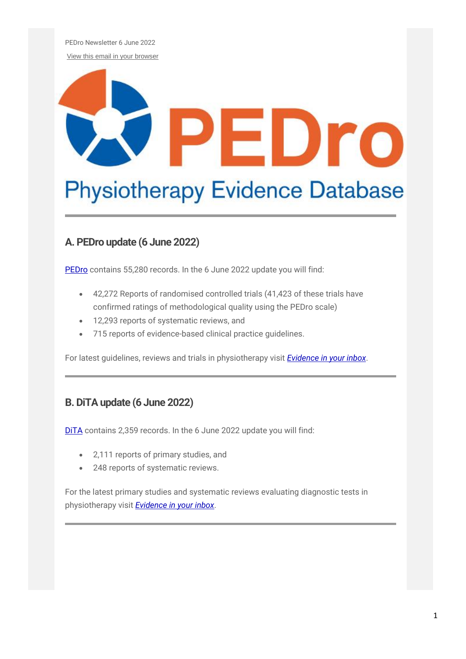PEDro Newsletter 6 June 2022

[View this email in your browser](https://us11.campaign-archive.com/?e=%5bUNIQID%5d&u=73dab3f8d5cca1a3fb365053a&id=29c58c716a)

# EDro

# **Physiotherapy Evidence Database**

## **A. PEDro update (6 June 2022)**

[PEDro](http://pedro.org.au/) contains 55,280 records. In the 6 June 2022 update you will find:

- 42,272 Reports of randomised controlled trials (41,423 of these trials have confirmed ratings of methodological quality using the PEDro scale)
- 12,293 reports of systematic reviews, and
- 715 reports of evidence-based clinical practice guidelines.

For latest guidelines, reviews and trials in physiotherapy visit *[Evidence in your inbox](https://pedro.org.au/english/browse/evidence-in-your-inbox)*.

#### **B. DiTA update (6 June 2022)**

[DiTA](http://dita.org.au/) contains 2,359 records. In the 6 June 2022 update you will find:

- 2,111 reports of primary studies, and
- 248 reports of systematic reviews.

For the latest primary studies and systematic reviews evaluating diagnostic tests in physiotherapy visit *[Evidence in your inbox](https://dita.org.au/browse/evidence-in-your-inbox/)*.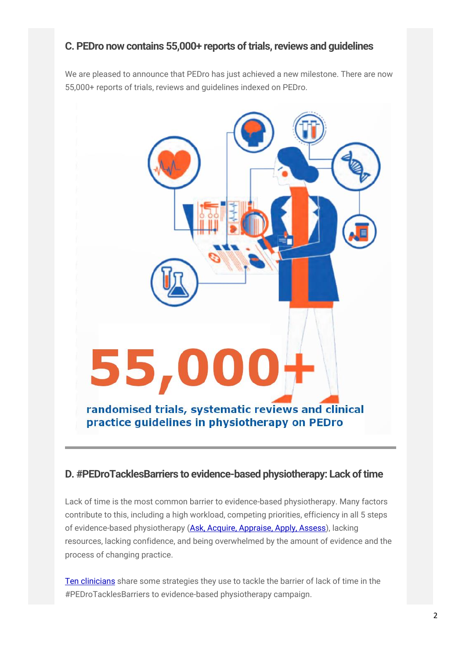#### **C. PEDro now contains 55,000+ reports of trials, reviews and guidelines**

We are pleased to announce that PEDro has just achieved a new milestone. There are now 55,000+ reports of trials, reviews and guidelines indexed on PEDro.



#### **D. #PEDroTacklesBarriers to evidence-based physiotherapy: Lack of time**

Lack of time is the most common barrier to evidence-based physiotherapy. Many factors contribute to this, including a high workload, competing priorities, efficiency in all 5 steps of evidence-based physiotherapy [\(Ask, Acquire, Appraise, Apply, Assess\)](https://dx.doi.org/10.1001/jamanetworkopen.2018.0281), lacking resources, lacking confidence, and being overwhelmed by the amount of evidence and the process of changing practice.

[Ten clinicians](https://www.youtube.com/watch?v=qKqViqCDt8U) share some strategies they use to tackle the barrier of lack of time in the #PEDroTacklesBarriers to evidence-based physiotherapy campaign.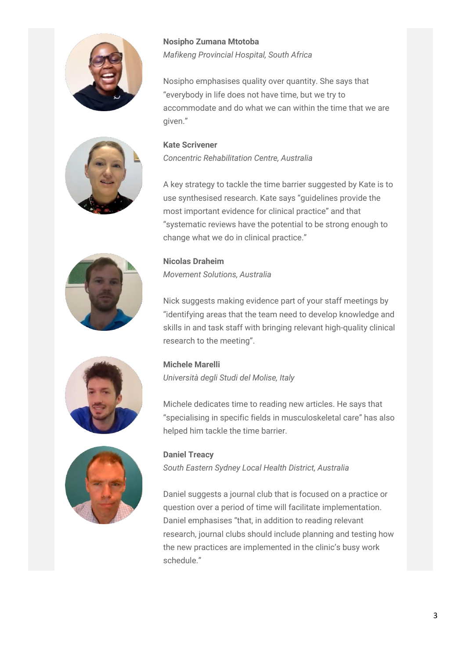

**Nosipho Zumana Mtotoba** *Mafikeng Provincial Hospital, South Africa*

Nosipho emphasises quality over quantity. She says that "everybody in life does not have time, but we try to accommodate and do what we can within the time that we are given."

#### **Kate Scrivener**

*Concentric Rehabilitation Centre, Australia*

A key strategy to tackle the time barrier suggested by Kate is to use synthesised research. Kate says "guidelines provide the most important evidence for clinical practice" and that "systematic reviews have the potential to be strong enough to change what we do in clinical practice."

#### **Nicolas Draheim**

*Movement Solutions, Australia*

Nick suggests making evidence part of your staff meetings by "identifying areas that the team need to develop knowledge and skills in and task staff with bringing relevant high-quality clinical research to the meeting".

#### **Michele Marelli**

*Università degli Studi del Molise, Italy*

Michele dedicates time to reading new articles. He says that "specialising in specific fields in musculoskeletal care" has also helped him tackle the time barrier.

**Daniel Treacy** *South Eastern Sydney Local Health District, Australia*

Daniel suggests a journal club that is focused on a practice or question over a period of time will facilitate implementation. Daniel emphasises "that, in addition to reading relevant research, journal clubs should include planning and testing how the new practices are implemented in the clinic's busy work schedule."





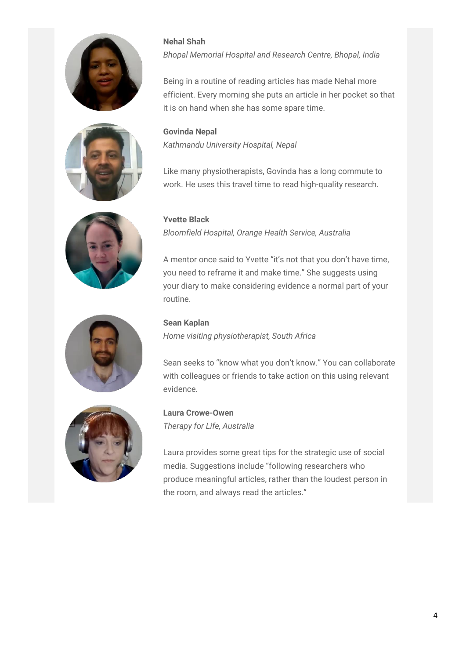









#### **Nehal Shah**

*Bhopal Memorial Hospital and Research Centre, Bhopal, India*

Being in a routine of reading articles has made Nehal more efficient. Every morning she puts an article in her pocket so that it is on hand when she has some spare time.

**Govinda Nepal** *Kathmandu University Hospital, Nepal*

Like many physiotherapists, Govinda has a long commute to work. He uses this travel time to read high-quality research.

#### **Yvette Black**

*Bloomfield Hospital, Orange Health Service, Australia*

A mentor once said to Yvette "it's not that you don't have time, you need to reframe it and make time." She suggests using your diary to make considering evidence a normal part of your routine.

#### **Sean Kaplan**

*Home visiting physiotherapist, South Africa*

Sean seeks to "know what you don't know." You can collaborate with colleagues or friends to take action on this using relevant evidence.

**Laura Crowe-Owen** *Therapy for Life, Australia*

Laura provides some great tips for the strategic use of social media. Suggestions include "following researchers who produce meaningful articles, rather than the loudest person in the room, and always read the articles."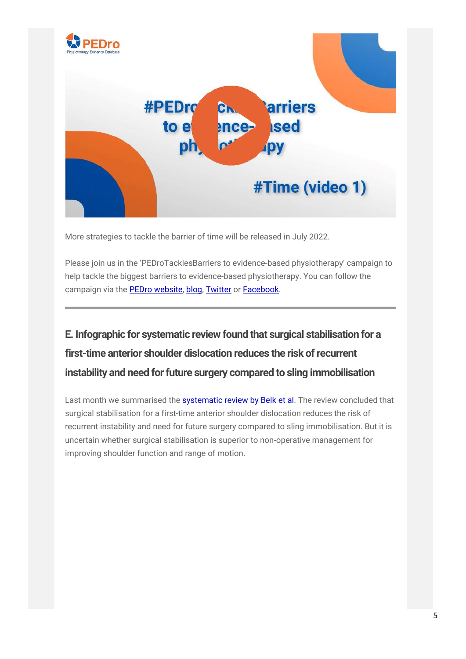

More strategies to tackle the barrier of time will be released in July 2022.

Please join us in the 'PEDroTacklesBarriers to evidence-based physiotherapy' campaign to help tackle the biggest barriers to evidence-based physiotherapy. You can follow the campaign via the [PEDro website,](https://pedro.org.au/english/learn/pedrotacklesbarriers/) [blog,](https://pedro.org.au/category/english/pedrotacklesbarriers/) [Twitter](https://twitter.com/PEDro_database) or [Facebook.](https://www.facebook.com/PhysiotherapyEvidenceDatabase.PEDro)

# **E. Infographic for systematic review found that surgical stabilisation for a first-time anterior shoulder dislocation reduces the risk of recurrent instability and need for future surgery compared to sling immobilisation**

Last month we summarised the [systematic review by Belk et al.](https://pedro.org.au/english/systematic-review-found-that-surgical-stabilisation-for-a-first-time-anterior-shoulder-dislocation-reduces-the-risk-of-recurrent-instability-and-need-for-a-future-surgery-compared-to-sling-immobilis-2/) The review concluded that surgical stabilisation for a first-time anterior shoulder dislocation reduces the risk of recurrent instability and need for future surgery compared to sling immobilisation. But it is uncertain whether surgical stabilisation is superior to non-operative management for improving shoulder function and range of motion.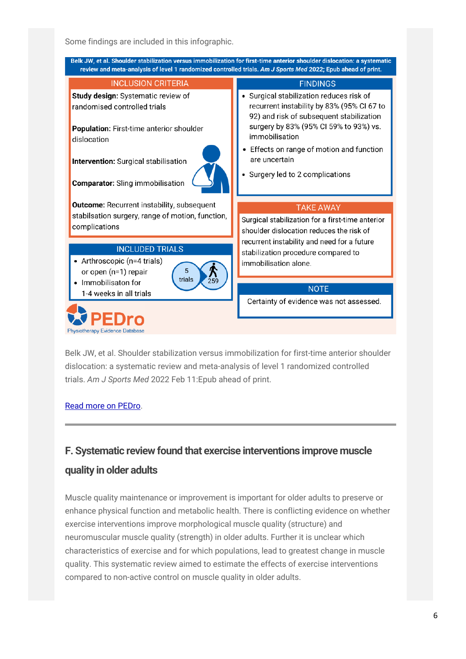Some findings are included in this infographic.



Belk JW, et al. Shoulder stabilization versus immobilization for first-time anterior shoulder dislocation: a systematic review and meta-analysis of level 1 randomized controlled trials. *Am J Sports Med* 2022 Feb 11:Epub ahead of print.

#### [Read more on PEDro.](https://search.pedro.org.au/search-results/record-detail/68626)

# **F. Systematic review found that exercise interventions improve muscle quality in older adults**

Muscle quality maintenance or improvement is important for older adults to preserve or enhance physical function and metabolic health. There is conflicting evidence on whether exercise interventions improve morphological muscle quality (structure) and neuromuscular muscle quality (strength) in older adults. Further it is unclear which characteristics of exercise and for which populations, lead to greatest change in muscle quality. This systematic review aimed to estimate the effects of exercise interventions compared to non-active control on muscle quality in older adults.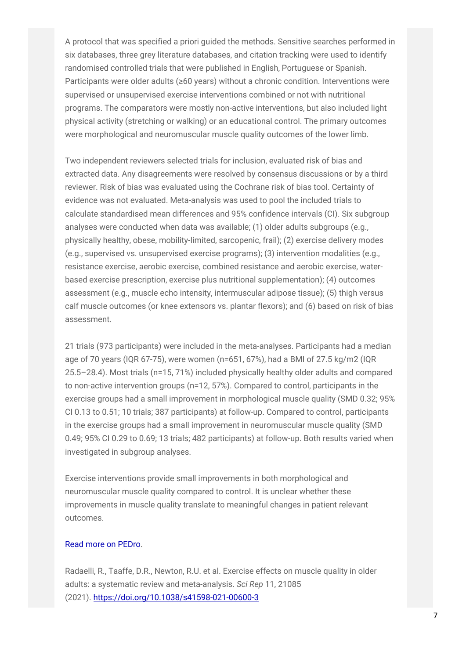A protocol that was specified a priori guided the methods. Sensitive searches performed in six databases, three grey literature databases, and citation tracking were used to identify randomised controlled trials that were published in English, Portuguese or Spanish. Participants were older adults (≥60 years) without a chronic condition. Interventions were supervised or unsupervised exercise interventions combined or not with nutritional programs. The comparators were mostly non-active interventions, but also included light physical activity (stretching or walking) or an educational control. The primary outcomes were morphological and neuromuscular muscle quality outcomes of the lower limb.

Two independent reviewers selected trials for inclusion, evaluated risk of bias and extracted data. Any disagreements were resolved by consensus discussions or by a third reviewer. Risk of bias was evaluated using the Cochrane risk of bias tool. Certainty of evidence was not evaluated. Meta-analysis was used to pool the included trials to calculate standardised mean differences and 95% confidence intervals (CI). Six subgroup analyses were conducted when data was available; (1) older adults subgroups (e.g., physically healthy, obese, mobility-limited, sarcopenic, frail); (2) exercise delivery modes (e.g., supervised vs. unsupervised exercise programs); (3) intervention modalities (e.g., resistance exercise, aerobic exercise, combined resistance and aerobic exercise, waterbased exercise prescription, exercise plus nutritional supplementation); (4) outcomes assessment (e.g., muscle echo intensity, intermuscular adipose tissue); (5) thigh versus calf muscle outcomes (or knee extensors vs. plantar flexors); and (6) based on risk of bias assessment.

21 trials (973 participants) were included in the meta-analyses. Participants had a median age of 70 years (IQR 67-75), were women (n=651, 67%), had a BMI of 27.5 kg/m2 (IQR 25.5–28.4). Most trials (n=15, 71%) included physically healthy older adults and compared to non-active intervention groups (n=12, 57%). Compared to control, participants in the exercise groups had a small improvement in morphological muscle quality (SMD 0.32; 95% CI 0.13 to 0.51; 10 trials; 387 participants) at follow-up. Compared to control, participants in the exercise groups had a small improvement in neuromuscular muscle quality (SMD 0.49; 95% CI 0.29 to 0.69; 13 trials; 482 participants) at follow-up. Both results varied when investigated in subgroup analyses.

Exercise interventions provide small improvements in both morphological and neuromuscular muscle quality compared to control. It is unclear whether these improvements in muscle quality translate to meaningful changes in patient relevant outcomes.

#### [Read more on PEDro.](https://search.pedro.org.au/search-results/record-detail/68795%C2%A0)

Radaelli, R., Taaffe, D.R., Newton, R.U. et al. Exercise effects on muscle quality in older adults: a systematic review and meta-analysis. *Sci Rep* 11, 21085 (2021). <https://doi.org/10.1038/s41598-021-00600-3>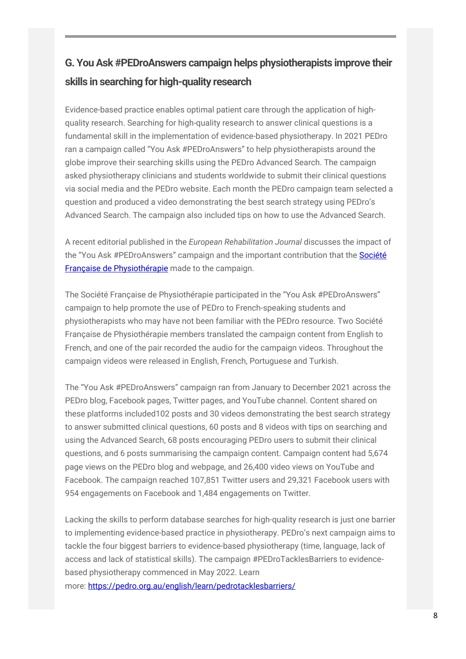# **G. You Ask #PEDroAnswers campaign helps physiotherapists improve their skills in searching for high-quality research**

Evidence-based practice enables optimal patient care through the application of highquality research. Searching for high-quality research to answer clinical questions is a fundamental skill in the implementation of evidence-based physiotherapy. In 2021 PEDro ran a campaign called "You Ask #PEDroAnswers" to help physiotherapists around the globe improve their searching skills using the PEDro Advanced Search. The campaign asked physiotherapy clinicians and students worldwide to submit their clinical questions via social media and the PEDro website. Each month the PEDro campaign team selected a question and produced a video demonstrating the best search strategy using PEDro's Advanced Search. The campaign also included tips on how to use the Advanced Search.

A recent editorial published in the *European Rehabilitation Journal* discusses the impact of the "You Ask #PEDroAnswers" campaign and the important contribution that the [Société](https://www.sfphysio.fr/)  [Française de Physiothérapie](https://www.sfphysio.fr/) made to the campaign.

The Société Française de Physiothérapie participated in the "You Ask #PEDroAnswers" campaign to help promote the use of PEDro to French-speaking students and physiotherapists who may have not been familiar with the PEDro resource. Two Société Française de Physiothérapie members translated the campaign content from English to French, and one of the pair recorded the audio for the campaign videos. Throughout the campaign videos were released in English, French, Portuguese and Turkish.

The "You Ask #PEDroAnswers" campaign ran from January to December 2021 across the PEDro blog, Facebook pages, Twitter pages, and YouTube channel. Content shared on these platforms included102 posts and 30 videos demonstrating the best search strategy to answer submitted clinical questions, 60 posts and 8 videos with tips on searching and using the Advanced Search, 68 posts encouraging PEDro users to submit their clinical questions, and 6 posts summarising the campaign content. Campaign content had 5,674 page views on the PEDro blog and webpage, and 26,400 video views on YouTube and Facebook. The campaign reached 107,851 Twitter users and 29,321 Facebook users with 954 engagements on Facebook and 1,484 engagements on Twitter.

Lacking the skills to perform database searches for high-quality research is just one barrier to implementing evidence-based practice in physiotherapy. PEDro's next campaign aims to tackle the four biggest barriers to evidence-based physiotherapy (time, language, lack of access and lack of statistical skills). The campaign #PEDroTacklesBarriers to evidencebased physiotherapy commenced in May 2022. Learn more: <https://pedro.org.au/english/learn/pedrotacklesbarriers/>